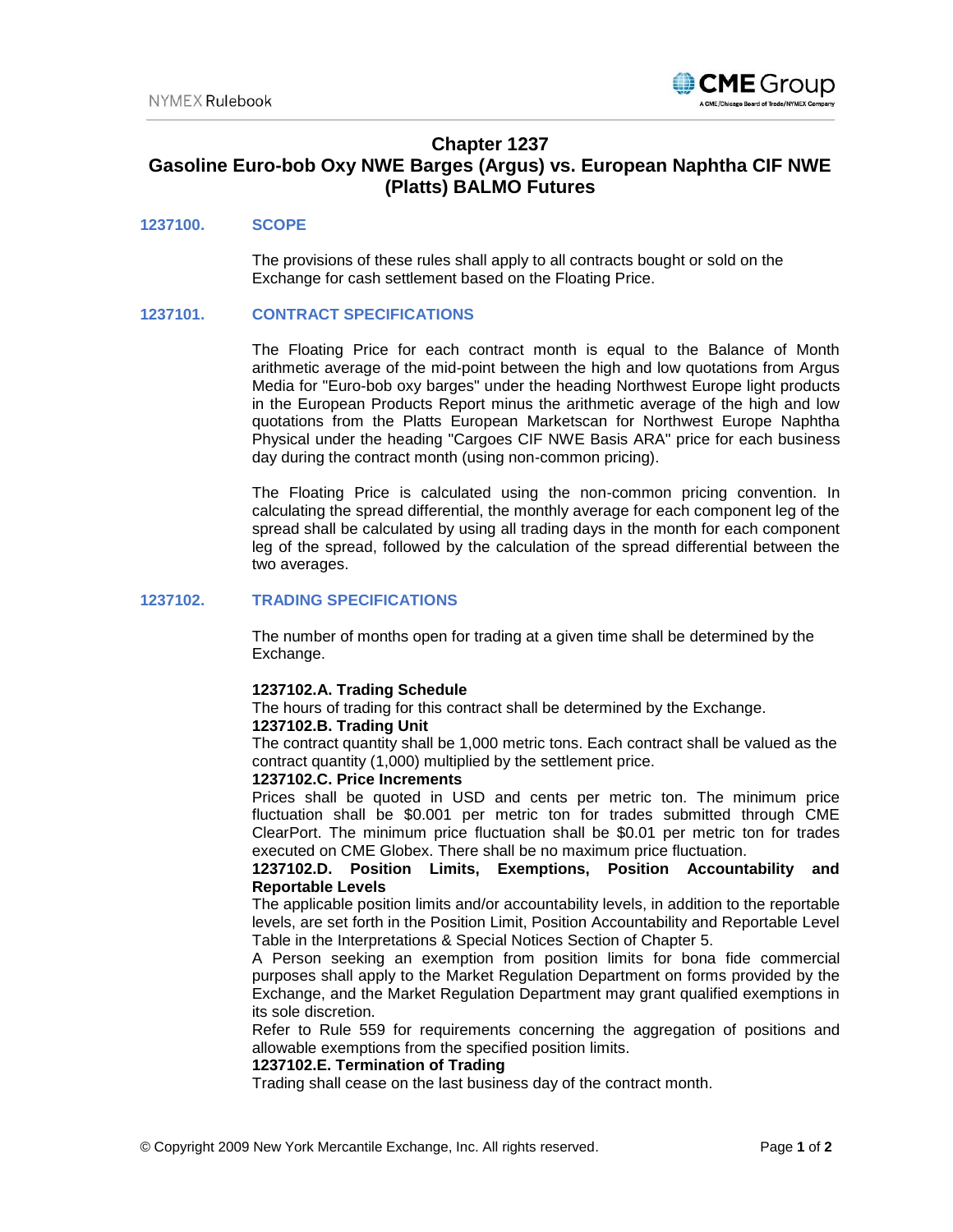

# **Chapter 1237**

# **Gasoline Euro-bob Oxy NWE Barges (Argus) vs. European Naphtha CIF NWE (Platts) BALMO Futures**

# **1237100. SCOPE**

The provisions of these rules shall apply to all contracts bought or sold on the Exchange for cash settlement based on the Floating Price.

## **1237101. CONTRACT SPECIFICATIONS**

The Floating Price for each contract month is equal to the Balance of Month arithmetic average of the mid-point between the high and low quotations from Argus Media for "Euro-bob oxy barges" under the heading Northwest Europe light products in the European Products Report minus the arithmetic average of the high and low quotations from the Platts European Marketscan for Northwest Europe Naphtha Physical under the heading "Cargoes CIF NWE Basis ARA" price for each business day during the contract month (using non-common pricing).

The Floating Price is calculated using the non-common pricing convention. In calculating the spread differential, the monthly average for each component leg of the spread shall be calculated by using all trading days in the month for each component leg of the spread, followed by the calculation of the spread differential between the two averages.

## **1237102. TRADING SPECIFICATIONS**

The number of months open for trading at a given time shall be determined by the Exchange.

## **1237102.A. Trading Schedule**

The hours of trading for this contract shall be determined by the Exchange.

#### **1237102.B. Trading Unit**

The contract quantity shall be 1,000 metric tons. Each contract shall be valued as the contract quantity (1,000) multiplied by the settlement price.

#### **1237102.C. Price Increments**

Prices shall be quoted in USD and cents per metric ton. The minimum price fluctuation shall be \$0.001 per metric ton for trades submitted through CME ClearPort. The minimum price fluctuation shall be \$0.01 per metric ton for trades executed on CME Globex. There shall be no maximum price fluctuation.

## **1237102.D. Position Limits, Exemptions, Position Accountability and Reportable Levels**

The applicable position limits and/or accountability levels, in addition to the reportable levels, are set forth in the Position Limit, Position Accountability and Reportable Level Table in the Interpretations & Special Notices Section of Chapter 5.

A Person seeking an exemption from position limits for bona fide commercial purposes shall apply to the Market Regulation Department on forms provided by the Exchange, and the Market Regulation Department may grant qualified exemptions in its sole discretion.

Refer to Rule 559 for requirements concerning the aggregation of positions and allowable exemptions from the specified position limits.

## **1237102.E. Termination of Trading**

Trading shall cease on the last business day of the contract month.